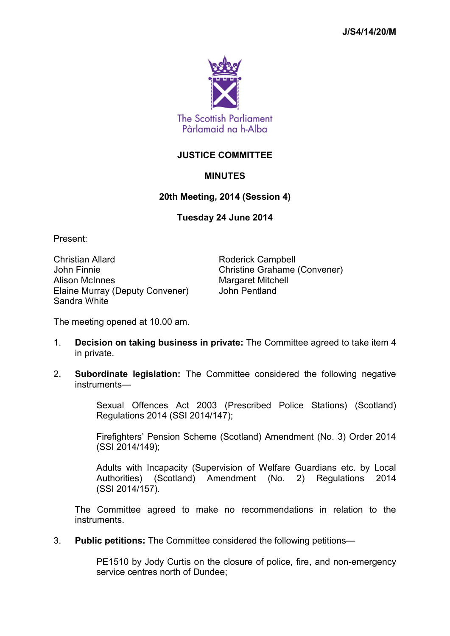

## **JUSTICE COMMITTEE**

## **MINUTES**

## **20th Meeting, 2014 (Session 4)**

## **Tuesday 24 June 2014**

Present:

Christian Allard **Roderick Campbell** John Finnie Christine Grahame (Convener) Alison McInnes Manual Margaret Mitchell Elaine Murray (Deputy Convener) John Pentland Sandra White

The meeting opened at 10.00 am.

- 1. **Decision on taking business in private:** The Committee agreed to take item 4 in private.
- 2. **Subordinate legislation:** The Committee considered the following negative instruments—

Sexual Offences Act 2003 (Prescribed Police Stations) (Scotland) Regulations 2014 (SSI 2014/147);

Firefighters' Pension Scheme (Scotland) Amendment (No. 3) Order 2014 (SSI 2014/149);

Adults with Incapacity (Supervision of Welfare Guardians etc. by Local Authorities) (Scotland) Amendment (No. 2) Regulations 2014 (SSI 2014/157).

The Committee agreed to make no recommendations in relation to the instruments.

3. **Public petitions:** The Committee considered the following petitions—

PE1510 by Jody Curtis on the closure of police, fire, and non-emergency service centres north of Dundee;